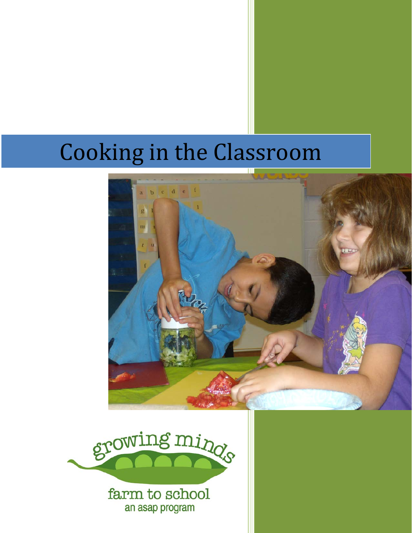# Cooking in the Classroom





an asap program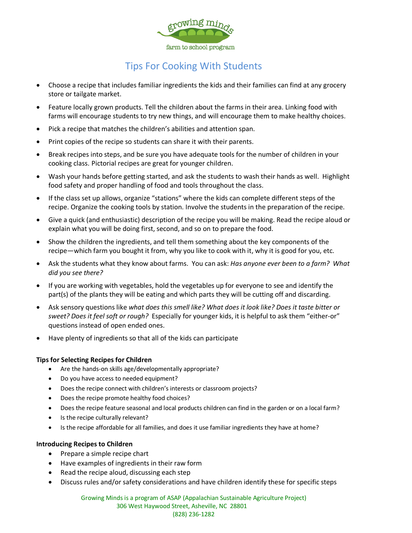

# Tips For Cooking With Students

- Choose a recipe that includes familiar ingredients the kids and their families can find at any grocery store or tailgate market.
- Feature locally grown products. Tell the children about the farms in their area. Linking food with farms will encourage students to try new things, and will encourage them to make healthy choices.
- Pick a recipe that matches the children's abilities and attention span.
- Print copies of the recipe so students can share it with their parents.
- Break recipes into steps, and be sure you have adequate tools for the number of children in your cooking class. Pictorial recipes are great for younger children.
- Wash your hands before getting started, and ask the students to wash their hands as well. Highlight food safety and proper handling of food and tools throughout the class.
- If the class set up allows, organize "stations" where the kids can complete different steps of the recipe. Organize the cooking tools by station. Involve the students in the preparation of the recipe.
- Give a quick (and enthusiastic) description of the recipe you will be making. Read the recipe aloud or explain what you will be doing first, second, and so on to prepare the food.
- Show the children the ingredients, and tell them something about the key components of the recipe—which farm you bought it from, why you like to cook with it, why it is good for you, etc.
- Ask the students what they know about farms. You can ask: *Has anyone ever been to a farm? What did you see there?*
- If you are working with vegetables, hold the vegetables up for everyone to see and identify the part(s) of the plants they will be eating and which parts they will be cutting off and discarding.
- Ask sensory questions like *what does this smell like? What does it look like? Does it taste bitter or sweet? Does it feel soft or rough?* Especially for younger kids, it is helpful to ask them "either-or" questions instead of open ended ones.
- Have plenty of ingredients so that all of the kids can participate

#### **Tips for Selecting Recipes for Children**

- Are the hands-on skills age/developmentally appropriate?
- Do you have access to needed equipment?
- Does the recipe connect with children's interests or classroom projects?
- Does the recipe promote healthy food choices?
- Does the recipe feature seasonal and local products children can find in the garden or on a local farm?
- Is the recipe culturally relevant?
- Is the recipe affordable for all families, and does it use familiar ingredients they have at home?

#### **Introducing Recipes to Children**

- Prepare a simple recipe chart
- Have examples of ingredients in their raw form
- Read the recipe aloud, discussing each step
- Discuss rules and/or safety considerations and have children identify these for specific steps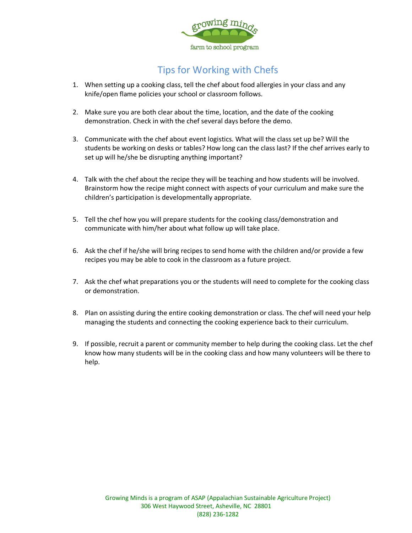

# Tips for Working with Chefs

- 1. When setting up a cooking class, tell the chef about food allergies in your class and any knife/open flame policies your school or classroom follows.
- 2. Make sure you are both clear about the time, location, and the date of the cooking demonstration. Check in with the chef several days before the demo.
- 3. Communicate with the chef about event logistics. What will the class set up be? Will the students be working on desks or tables? How long can the class last? If the chef arrives early to set up will he/she be disrupting anything important?
- 4. Talk with the chef about the recipe they will be teaching and how students will be involved. Brainstorm how the recipe might connect with aspects of your curriculum and make sure the children's participation is developmentally appropriate.
- 5. Tell the chef how you will prepare students for the cooking class/demonstration and communicate with him/her about what follow up will take place.
- 6. Ask the chef if he/she will bring recipes to send home with the children and/or provide a few recipes you may be able to cook in the classroom as a future project.
- 7. Ask the chef what preparations you or the students will need to complete for the cooking class or demonstration.
- 8. Plan on assisting during the entire cooking demonstration or class. The chef will need your help managing the students and connecting the cooking experience back to their curriculum.
- 9. If possible, recruit a parent or community member to help during the cooking class. Let the chef know how many students will be in the cooking class and how many volunteers will be there to help.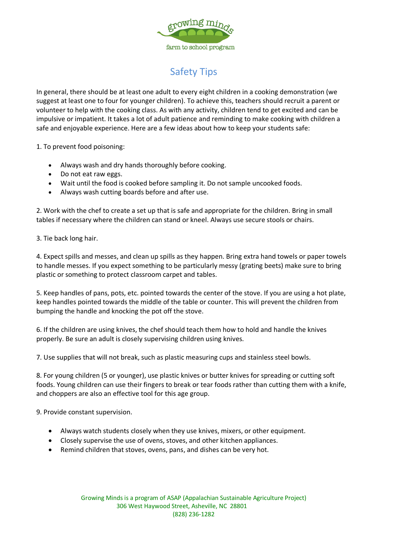

# Safety Tips

In general, there should be at least one adult to every eight children in a cooking demonstration (we suggest at least one to four for younger children). To achieve this, teachers should recruit a parent or volunteer to help with the cooking class. As with any activity, children tend to get excited and can be impulsive or impatient. It takes a lot of adult patience and reminding to make cooking with children a safe and enjoyable experience. Here are a few ideas about how to keep your students safe:

1. To prevent food poisoning:

- Always wash and dry hands thoroughly before cooking.
- Do not eat raw eggs.
- Wait until the food is cooked before sampling it. Do not sample uncooked foods.
- Always wash cutting boards before and after use.

2. Work with the chef to create a set up that is safe and appropriate for the children. Bring in small tables if necessary where the children can stand or kneel. Always use secure stools or chairs.

3. Tie back long hair.

4. Expect spills and messes, and clean up spills as they happen. Bring extra hand towels or paper towels to handle messes. If you expect something to be particularly messy (grating beets) make sure to bring plastic or something to protect classroom carpet and tables.

5. Keep handles of pans, pots, etc. pointed towards the center of the stove. If you are using a hot plate, keep handles pointed towards the middle of the table or counter. This will prevent the children from bumping the handle and knocking the pot off the stove.

6. If the children are using knives, the chef should teach them how to hold and handle the knives properly. Be sure an adult is closely supervising children using knives.

7. Use supplies that will not break, such as plastic measuring cups and stainless steel bowls.

8. For young children (5 or younger), use plastic knives or butter knives for spreading or cutting soft foods. Young children can use their fingers to break or tear foods rather than cutting them with a knife, and choppers are also an effective tool for this age group.

9. Provide constant supervision.

- Always watch students closely when they use knives, mixers, or other equipment.
- Closely supervise the use of ovens, stoves, and other kitchen appliances.
- Remind children that stoves, ovens, pans, and dishes can be very hot.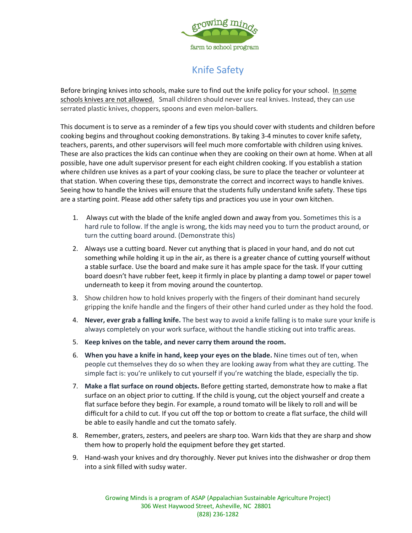

# Knife Safety

Before bringing knives into schools, make sure to find out the knife policy for your school. In some schools knives are not allowed. Small children should never use real knives. Instead, they can use serrated plastic knives, choppers, spoons and even melon-ballers.

This document is to serve as a reminder of a few tips you should cover with students and children before cooking begins and throughout cooking demonstrations. By taking 3-4 minutes to cover knife safety, teachers, parents, and other supervisors will feel much more comfortable with children using knives. These are also practices the kids can continue when they are cooking on their own at home. When at all possible, have one adult supervisor present for each eight children cooking. If you establish a station where children use knives as a part of your cooking class, be sure to place the teacher or volunteer at that station. When covering these tips, demonstrate the correct and incorrect ways to handle knives. Seeing how to handle the knives will ensure that the students fully understand knife safety. These tips are a starting point. Please add other safety tips and practices you use in your own kitchen.

- 1. Always cut with the blade of the knife angled down and away from you. Sometimes this is a hard rule to follow. If the angle is wrong, the kids may need you to turn the product around, or turn the cutting board around. (Demonstrate this)
- 2. Always use a cutting board. Never cut anything that is placed in your hand, and do not cut something while holding it up in the air, as there is a greater chance of cutting yourself without a stable surface. Use the board and make sure it has ample space for the task. If your cutting board doesn't have rubber feet, keep it firmly in place by planting a damp towel or paper towel underneath to keep it from moving around the countertop.
- 3. Show children how to hold knives properly with the fingers of their dominant hand securely gripping the knife handle and the fingers of their other hand curled under as they hold the food.
- 4. **Never, ever grab a falling knife.** The best way to avoid a knife falling is to make sure your knife is always completely on your work surface, without the handle sticking out into traffic areas.
- 5. **Keep knives on the table, and never carry them around the room.**
- 6. **When you have a knife in hand, keep your eyes on the blade.** Nine times out of ten, when people cut themselves they do so when they are looking away from what they are cutting. The simple fact is: you're unlikely to cut yourself if you're watching the blade, especially the tip.
- 7. **Make a flat surface on round objects.** Before getting started, demonstrate how to make a flat surface on an object prior to cutting. If the child is young, cut the object yourself and create a flat surface before they begin. For example, a round tomato will be likely to roll and will be difficult for a child to cut. If you cut off the top or bottom to create a flat surface, the child will be able to easily handle and cut the tomato safely.
- 8. Remember, graters, zesters, and peelers are sharp too. Warn kids that they are sharp and show them how to properly hold the equipment before they get started.
- 9. Hand-wash your knives and dry thoroughly. Never put knives into the dishwasher or drop them into a sink filled with sudsy water.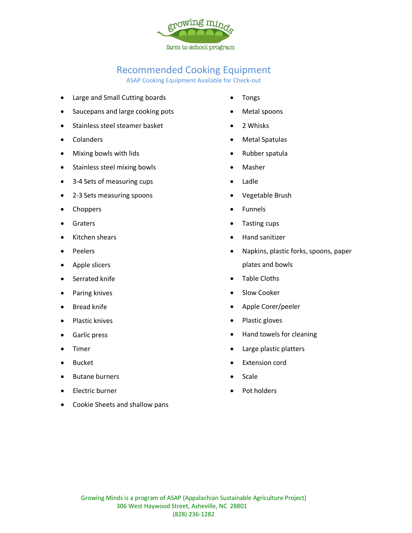

## Recommended Cooking Equipment

ASAP Cooking Equipment Available for Check-out

- Large and Small Cutting boards
- Saucepans and large cooking pots
- Stainless steel steamer basket
- Colanders
- Mixing bowls with lids
- Stainless steel mixing bowls
- 3-4 Sets of measuring cups
- 2-3 Sets measuring spoons
- Choppers
- Graters
- Kitchen shears
- Peelers
- Apple slicers
- Serrated knife
- Paring knives
- **Bread knife**
- Plastic knives
- Garlic press
- **Timer**
- Bucket
- Butane burners
- Electric burner
- Cookie Sheets and shallow pans
- Tongs
- Metal spoons
- 2 Whisks
- Metal Spatulas
- Rubber spatula
- Masher
- Ladle
- Vegetable Brush
- Funnels
- Tasting cups
- Hand sanitizer
- Napkins, plastic forks, spoons, paper plates and bowls
- Table Cloths
- Slow Cooker
- Apple Corer/peeler
- Plastic gloves
- Hand towels for cleaning
- Large plastic platters
- Extension cord
- Scale
- Pot holders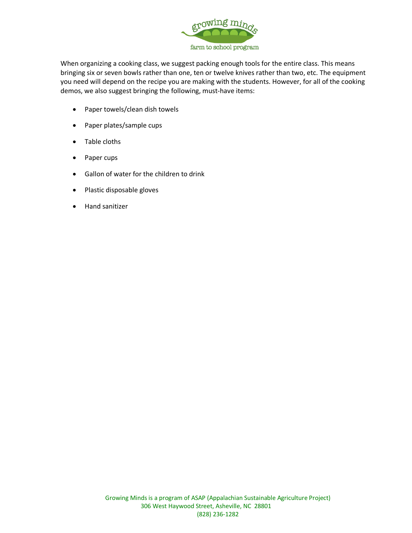

When organizing a cooking class, we suggest packing enough tools for the entire class. This means bringing six or seven bowls rather than one, ten or twelve knives rather than two, etc. The equipment you need will depend on the recipe you are making with the students. However, for all of the cooking demos, we also suggest bringing the following, must-have items:

- Paper towels/clean dish towels
- Paper plates/sample cups
- Table cloths
- Paper cups
- Gallon of water for the children to drink
- Plastic disposable gloves
- Hand sanitizer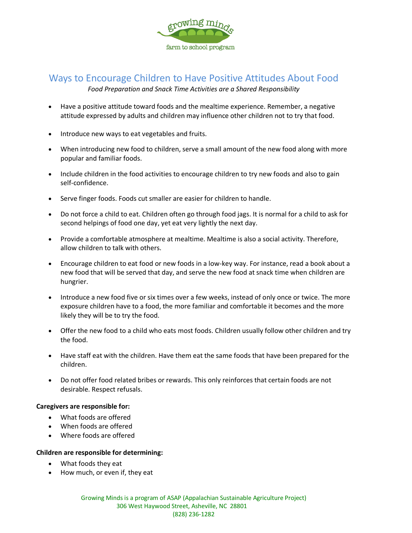

### Ways to Encourage Children to Have Positive Attitudes About Food

*Food Preparation and Snack Time Activities are a Shared Responsibility*

- Have a positive attitude toward foods and the mealtime experience. Remember, a negative attitude expressed by adults and children may influence other children not to try that food.
- Introduce new ways to eat vegetables and fruits.
- When introducing new food to children, serve a small amount of the new food along with more popular and familiar foods.
- Include children in the food activities to encourage children to try new foods and also to gain self-confidence.
- Serve finger foods. Foods cut smaller are easier for children to handle.
- Do not force a child to eat. Children often go through food jags. It is normal for a child to ask for second helpings of food one day, yet eat very lightly the next day.
- Provide a comfortable atmosphere at mealtime. Mealtime is also a social activity. Therefore, allow children to talk with others.
- Encourage children to eat food or new foods in a low-key way. For instance, read a book about a new food that will be served that day, and serve the new food at snack time when children are hungrier.
- Introduce a new food five or six times over a few weeks, instead of only once or twice. The more exposure children have to a food, the more familiar and comfortable it becomes and the more likely they will be to try the food.
- Offer the new food to a child who eats most foods. Children usually follow other children and try the food.
- Have staff eat with the children. Have them eat the same foods that have been prepared for the children.
- Do not offer food related bribes or rewards. This only reinforces that certain foods are not desirable. Respect refusals.

#### **Caregivers are responsible for:**

- What foods are offered
- When foods are offered
- Where foods are offered

#### **Children are responsible for determining:**

- What foods they eat
- How much, or even if, they eat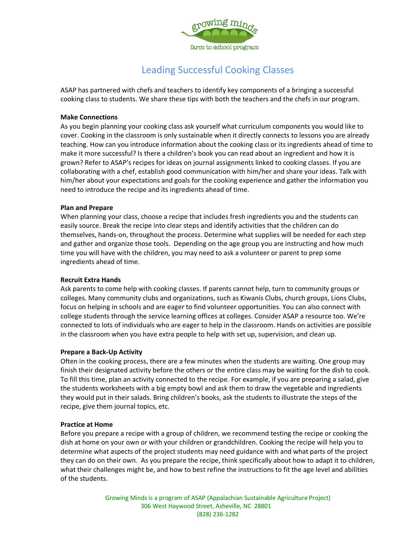

# Leading Successful Cooking Classes

ASAP has partnered with chefs and teachers to identify key components of a bringing a successful cooking class to students. We share these tips with both the teachers and the chefs in our program.

#### **Make Connections**

As you begin planning your cooking class ask yourself what curriculum components you would like to cover. Cooking in the classroom is only sustainable when it directly connects to lessons you are already teaching. How can you introduce information about the cooking class or its ingredients ahead of time to make it more successful? Is there a children's book you can read about an ingredient and how it is grown? Refer to ASAP's recipes for ideas on journal assignments linked to cooking classes. If you are collaborating with a chef, establish good communication with him/her and share your ideas. Talk with him/her about your expectations and goals for the cooking experience and gather the information you need to introduce the recipe and its ingredients ahead of time.

#### **Plan and Prepare**

When planning your class, choose a recipe that includes fresh ingredients you and the students can easily source. Break the recipe into clear steps and identify activities that the children can do themselves, hands-on, throughout the process. Determine what supplies will be needed for each step and gather and organize those tools. Depending on the age group you are instructing and how much time you will have with the children, you may need to ask a volunteer or parent to prep some ingredients ahead of time.

#### **Recruit Extra Hands**

Ask parents to come help with cooking classes. If parents cannot help, turn to community groups or colleges. Many community clubs and organizations, such as Kiwanis Clubs, church groups, Lions Clubs, focus on helping in schools and are eager to find volunteer opportunities. You can also connect with college students through the service learning offices at colleges. Consider ASAP a resource too. We're connected to lots of individuals who are eager to help in the classroom. Hands on activities are possible in the classroom when you have extra people to help with set up, supervision, and clean up.

#### **Prepare a Back-Up Activity**

Often in the cooking process, there are a few minutes when the students are waiting. One group may finish their designated activity before the others or the entire class may be waiting for the dish to cook. To fill this time, plan an activity connected to the recipe. For example, if you are preparing a salad, give the students worksheets with a big empty bowl and ask them to draw the vegetable and ingredients they would put in their salads. Bring children's books, ask the students to illustrate the steps of the recipe, give them journal topics, etc.

#### **Practice at Home**

Before you prepare a recipe with a group of children, we recommend testing the recipe or cooking the dish at home on your own or with your children or grandchildren. Cooking the recipe will help you to determine what aspects of the project students may need guidance with and what parts of the project they can do on their own. As you prepare the recipe, think specifically about how to adapt it to children, what their challenges might be, and how to best refine the instructions to fit the age level and abilities of the students.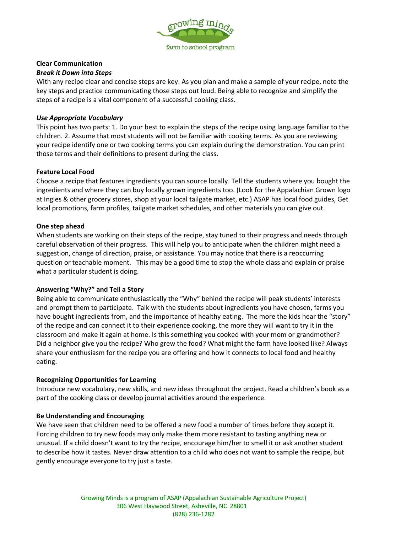

#### **Clear Communication**

#### *Break it Down into Steps*

With any recipe clear and concise steps are key. As you plan and make a sample of your recipe, note the key steps and practice communicating those steps out loud. Being able to recognize and simplify the steps of a recipe is a vital component of a successful cooking class.

#### *Use Appropriate Vocabulary*

This point has two parts: 1. Do your best to explain the steps of the recipe using language familiar to the children. 2. Assume that most students will not be familiar with cooking terms. As you are reviewing your recipe identify one or two cooking terms you can explain during the demonstration. You can print those terms and their definitions to present during the class.

#### **Feature Local Food**

Choose a recipe that features ingredients you can source locally. Tell the students where you bought the ingredients and where they can buy locally grown ingredients too. (Look for the Appalachian Grown logo at Ingles & other grocery stores, shop at your local tailgate market, etc.) ASAP has local food guides, Get local promotions, farm profiles, tailgate market schedules, and other materials you can give out.

#### **One step ahead**

When students are working on their steps of the recipe, stay tuned to their progress and needs through careful observation of their progress. This will help you to anticipate when the children might need a suggestion, change of direction, praise, or assistance. You may notice that there is a reoccurring question or teachable moment. This may be a good time to stop the whole class and explain or praise what a particular student is doing.

#### **Answering "Why?" and Tell a Story**

Being able to communicate enthusiastically the "Why" behind the recipe will peak students' interests and prompt them to participate. Talk with the students about ingredients you have chosen, farms you have bought ingredients from, and the importance of healthy eating. The more the kids hear the "story" of the recipe and can connect it to their experience cooking, the more they will want to try it in the classroom and make it again at home. Is this something you cooked with your mom or grandmother? Did a neighbor give you the recipe? Who grew the food? What might the farm have looked like? Always share your enthusiasm for the recipe you are offering and how it connects to local food and healthy eating.

#### **Recognizing Opportunities for Learning**

Introduce new vocabulary, new skills, and new ideas throughout the project. Read a children's book as a part of the cooking class or develop journal activities around the experience.

#### **Be Understanding and Encouraging**

We have seen that children need to be offered a new food a number of times before they accept it. Forcing children to try new foods may only make them more resistant to tasting anything new or unusual. If a child doesn't want to try the recipe, encourage him/her to smell it or ask another student to describe how it tastes. Never draw attention to a child who does not want to sample the recipe, but gently encourage everyone to try just a taste.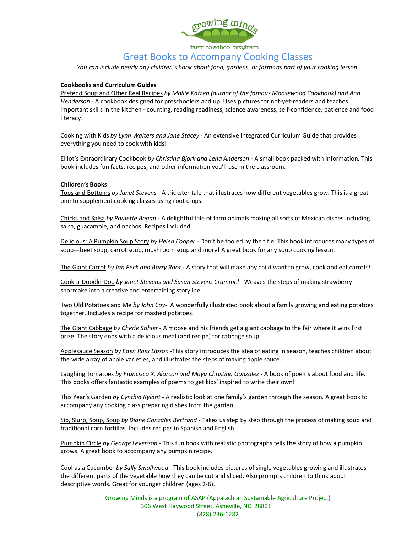

Great Books to Accompany Cooking Classes

*You can include nearly any children's book about food, gardens, or farms as part of your cooking lesson.*

#### **Cookbooks and Curriculum Guides**

Pretend Soup and Other Real Recipes *by Mollie Katzen (author of the famous Moosewood Cookbook) and Ann Henderson* - A cookbook designed for preschoolers and up. Uses pictures for not-yet-readers and teaches important skills in the kitchen - counting, reading readiness, science awareness, self-confidence, patience and food literacy!

Cooking with Kids *by Lynn Walters and Jane Stacey* - An extensive Integrated Curriculum Guide that provides everything you need to cook with kids!

Elliot's Extraordinary Cookbook *by Christina Bjork and Lena Anderson* - A small book packed with information. This book includes fun facts, recipes, and other information you'll use in the classroom.

#### **Children's Books**

Tops and Bottoms *by Janet Stevens* - A trickster tale that illustrates how different vegetables grow. This is a great one to supplement cooking classes using root crops.

Chicks and Salsa *by Paulette Bogan* - A delightful tale of farm animals making all sorts of Mexican dishes including salsa, guacamole, and nachos. Recipes included.

Delicious: A Pumpkin Soup Story *by Helen Cooper* - Don't be fooled by the title. This book introduces many types of soup—beet soup, carrot soup, mushroom soup and more! A great book for any soup cooking lesson.

The Giant Carrot *by Jan Peck and Barry Root* - A story that will make any child want to grow, cook and eat carrots!

Cook-a-Doodle-Doo *by Janet Stevens and Susan Stevens Crummel* - Weaves the steps of making strawberry shortcake into a creative and entertaining storyline.

Two Old Potatoes and Me *by John Coy*- A wonderfully illustrated book about a family growing and eating potatoes together. Includes a recipe for mashed potatoes.

The Giant Cabbage *by Cherie Stihler* - A moose and his friends get a giant cabbage to the fair where it wins first prize. The story ends with a delicious meal (and recipe) for cabbage soup.

Applesauce Season *by Eden Ross Lipson* -This story introduces the idea of eating in season, teaches children about the wide array of apple varieties, and illustrates the steps of making apple sauce.

Laughing Tomatoes *by Francisco X. Alarcon and Maya Christina Gonzalez* - A book of poems about food and life. This books offers fantastic examples of poems to get kids' inspired to write their own!

This Year's Garden *by Cynthia Rylant* - A realistic look at one family's garden through the season. A great book to accompany any cooking class preparing dishes from the garden.

Sip, Slurp, Soup, Soup *by Diane Gonzales Bertrand* - Takes us step by step through the process of making soup and traditional corn tortillas. Includes recipes in Spanish and English.

Pumpkin Circle *by George Levenson* - This fun book with realistic photographs tells the story of how a pumpkin grows. A great book to accompany any pumpkin recipe.

Cool as a Cucumber *by Sally Smallwood* - This book includes pictures of single vegetables growing and illustrates the different parts of the vegetable how they can be cut and sliced. Also prompts children to think about descriptive words. Great for younger children (ages 2-6).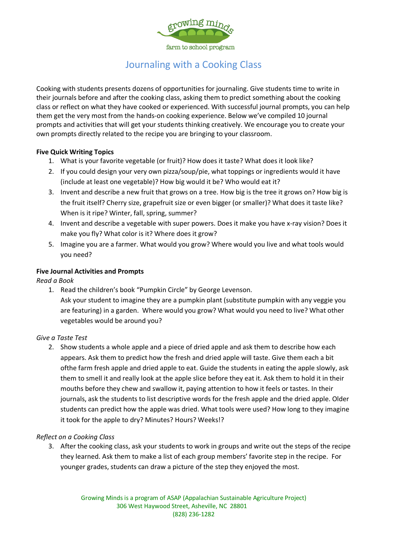

## Journaling with a Cooking Class

Cooking with students presents dozens of opportunities for journaling. Give students time to write in their journals before and after the cooking class, asking them to predict something about the cooking class or reflect on what they have cooked or experienced. With successful journal prompts, you can help them get the very most from the hands-on cooking experience. Below we've compiled 10 journal prompts and activities that will get your students thinking creatively. We encourage you to create your own prompts directly related to the recipe you are bringing to your classroom.

#### **Five Quick Writing Topics**

- 1. What is your favorite vegetable (or fruit)? How does it taste? What does it look like?
- 2. If you could design your very own pizza/soup/pie, what toppings or ingredients would it have (include at least one vegetable)? How big would it be? Who would eat it?
- 3. Invent and describe a new fruit that grows on a tree. How big is the tree it grows on? How big is the fruit itself? Cherry size, grapefruit size or even bigger (or smaller)? What does it taste like? When is it ripe? Winter, fall, spring, summer?
- 4. Invent and describe a vegetable with super powers. Does it make you have x-ray vision? Does it make you fly? What color is it? Where does it grow?
- 5. Imagine you are a farmer. What would you grow? Where would you live and what tools would you need?

#### **Five Journal Activities and Prompts**

*Read a Book*

1. Read the children's book "Pumpkin Circle" by George Levenson. Ask your student to imagine they are a pumpkin plant (substitute pumpkin with any veggie you are featuring) in a garden. Where would you grow? What would you need to live? What other vegetables would be around you?

#### *Give a Taste Test*

2. Show students a whole apple and a piece of dried apple and ask them to describe how each appears. Ask them to predict how the fresh and dried apple will taste. Give them each a bit ofthe farm fresh apple and dried apple to eat. Guide the students in eating the apple slowly, ask them to smell it and really look at the apple slice before they eat it. Ask them to hold it in their mouths before they chew and swallow it, paying attention to how it feels or tastes. In their journals, ask the students to list descriptive words for the fresh apple and the dried apple. Older students can predict how the apple was dried. What tools were used? How long to they imagine it took for the apple to dry? Minutes? Hours? Weeks!?

#### *Reflect on a Cooking Class*

3. After the cooking class, ask your students to work in groups and write out the steps of the recipe they learned. Ask them to make a list of each group members' favorite step in the recipe. For younger grades, students can draw a picture of the step they enjoyed the most.